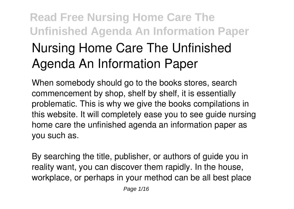# **Read Free Nursing Home Care The Unfinished Agenda An Information Paper Nursing Home Care The Unfinished Agenda An Information Paper**

When somebody should go to the books stores, search commencement by shop, shelf by shelf, it is essentially problematic. This is why we give the books compilations in this website. It will completely ease you to see guide **nursing home care the unfinished agenda an information paper** as you such as.

By searching the title, publisher, or authors of guide you in reality want, you can discover them rapidly. In the house, workplace, or perhaps in your method can be all best place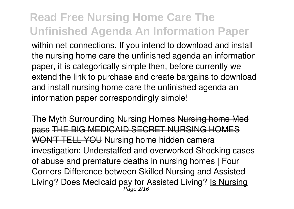within net connections. If you intend to download and install the nursing home care the unfinished agenda an information paper, it is categorically simple then, before currently we extend the link to purchase and create bargains to download and install nursing home care the unfinished agenda an information paper correspondingly simple!

*The Myth Surrounding Nursing Homes* Nursing home Med pass THE BIG MEDICAID SECRET NURSING HOM WON'T TELL YOU **Nursing home hidden camera investigation: Understaffed and overworked Shocking cases of abuse and premature deaths in nursing homes | Four Corners** *Difference between Skilled Nursing and Assisted Living? Does Medicaid pay for Assisted Living?* Is Nursing Page 2/16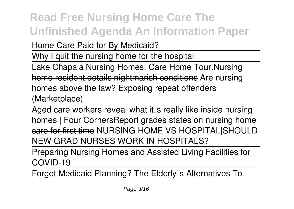Home Care Paid for By Medicaid?

Why I quit the nursing home for the hospital

Lake Chapala Nursing Homes. Care Home Tour. Nursing home resident details nightmarish conditions Are nursing homes above the law? Exposing repeat offenders (Marketplace)

Aged care workers reveal what it is really like inside nursing homes | Four Corners Report grades states on nursing home care for first time NURSING HOME VS HOSPITAL|SHOULD NEW GRAD NURSES WORK IN HOSPITALS?

Preparing Nursing Homes and Assisted Living Facilities for COVID-19

Forget Medicaid Planning? The Elderly<sup>1</sup>s Alternatives To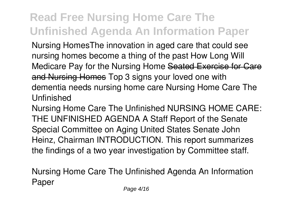Nursing Homes*The innovation in aged care that could see nursing homes become a thing of the past* **How Long Will Medicare Pay for the Nursing Home Seated Exercise for Care** and Nursing Homes **Top 3 signs your loved one with dementia needs nursing home care Nursing Home Care The Unfinished**

Nursing Home Care The Unfinished NURSING HOME CARE: THE UNFINISHED AGENDA A Staff Report of the Senate Special Committee on Aging United States Senate John Heinz, Chairman INTRODUCTION. This report summarizes the findings of a two year investigation by Committee staff.

**Nursing Home Care The Unfinished Agenda An Information Paper**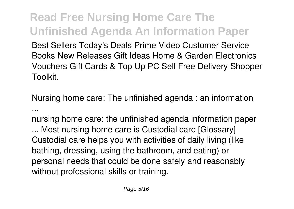Best Sellers Today's Deals Prime Video Customer Service Books New Releases Gift Ideas Home & Garden Electronics Vouchers Gift Cards & Top Up PC Sell Free Delivery Shopper Toolkit.

**Nursing home care: The unfinished agenda : an information ...**

nursing home care: the unfinished agenda information paper

... Most nursing home care is Custodial care [Glossary] Custodial care helps you with activities of daily living (like bathing, dressing, using the bathroom, and eating) or personal needs that could be done safely and reasonably without professional skills or training.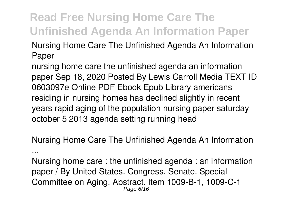**Nursing Home Care The Unfinished Agenda An Information Paper**

nursing home care the unfinished agenda an information paper Sep 18, 2020 Posted By Lewis Carroll Media TEXT ID 0603097e Online PDF Ebook Epub Library americans residing in nursing homes has declined slightly in recent years rapid aging of the population nursing paper saturday october 5 2013 agenda setting running head

**Nursing Home Care The Unfinished Agenda An Information**

**...**

Nursing home care : the unfinished agenda : an information paper / By United States. Congress. Senate. Special Committee on Aging. Abstract. Item 1009-B-1, 1009-C-1 Page 6/16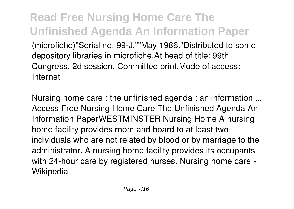**Read Free Nursing Home Care The Unfinished Agenda An Information Paper** (microfiche)"Serial no. 99-J.""May 1986."Distributed to some depository libraries in microfiche.At head of title: 99th Congress, 2d session. Committee print.Mode of access: Internet

**Nursing home care : the unfinished agenda : an information ...** Access Free Nursing Home Care The Unfinished Agenda An Information PaperWESTMINSTER Nursing Home A nursing home facility provides room and board to at least two individuals who are not related by blood or by marriage to the administrator. A nursing home facility provides its occupants with 24-hour care by registered nurses. Nursing home care - Wikipedia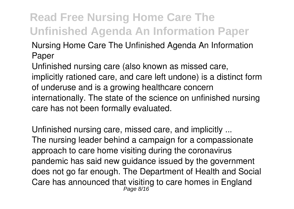**Nursing Home Care The Unfinished Agenda An Information Paper**

Unfinished nursing care (also known as missed care, implicitly rationed care, and care left undone) is a distinct form of underuse and is a growing healthcare concern internationally. The state of the science on unfinished nursing care has not been formally evaluated.

**Unfinished nursing care, missed care, and implicitly ...** The nursing leader behind a campaign for a compassionate approach to care home visiting during the coronavirus pandemic has said new guidance issued by the government does not go far enough. The Department of Health and Social Care has announced that visiting to care homes in England Page 8/16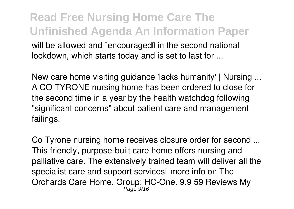#### **Read Free Nursing Home Care The Unfinished Agenda An Information Paper** will be allowed and **Dencouraged** in the second national lockdown, which starts today and is set to last for ...

**New care home visiting guidance 'lacks humanity' | Nursing ...** A CO TYRONE nursing home has been ordered to close for the second time in a year by the health watchdog following "significant concerns" about patient care and management failings.

**Co Tyrone nursing home receives closure order for second ...** This friendly, purpose-built care home offers nursing and palliative care. The extensively trained team will deliver all the specialist care and support services<sup>[]</sup> more info on The Orchards Care Home. Group: HC-One. 9.9 59 Reviews My Page 9/16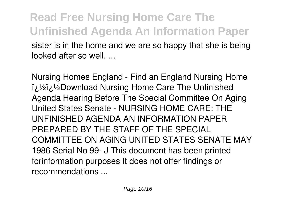#### **Read Free Nursing Home Care The Unfinished Agenda An Information Paper** sister is in the home and we are so happy that she is being looked after so well. ...

**Nursing Homes England - Find an England Nursing Home** ii/2ii/2Download Nursing Home Care The Unfinished Agenda Hearing Before The Special Committee On Aging United States Senate - NURSING HOME CARE: THE UNFINISHED AGENDA AN INFORMATION PAPER PREPARED BY THE STAFF OF THE SPECIAL COMMITTEE ON AGING UNITED STATES SENATE MAY 1986 Serial No 99- J This document has been printed forinformation purposes It does not offer findings or recommendations ...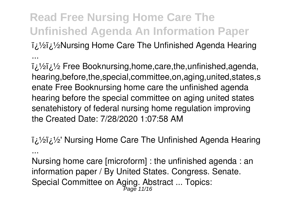**��Nursing Home Care The Unfinished Agenda Hearing**

**...**

i.<sup>1</sup>/2i.<sup>1</sup>/2</sup> Free Booknursing,home,care,the,unfinished,agenda, hearing,before,the,special,committee,on,aging,united,states,s enate Free Booknursing home care the unfinished agenda hearing before the special committee on aging united states senatehistory of federal nursing home regulation improving the Created Date: 7/28/2020 1:07:58 AM

**��' Nursing Home Care The Unfinished Agenda Hearing ...**

Nursing home care [microform] : the unfinished agenda : an information paper / By United States. Congress. Senate. Special Committee on Aging. Abstract ... Topics: Page 11/16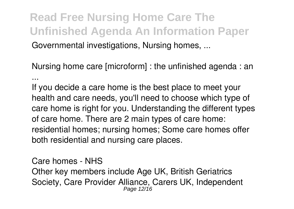**Read Free Nursing Home Care The Unfinished Agenda An Information Paper** Governmental investigations, Nursing homes, ...

**Nursing home care [microform] : the unfinished agenda : an ...**

If you decide a care home is the best place to meet your health and care needs, you'll need to choose which type of care home is right for you. Understanding the different types of care home. There are 2 main types of care home: residential homes; nursing homes; Some care homes offer both residential and nursing care places.

**Care homes - NHS** Other key members include Age UK, British Geriatrics Society, Care Provider Alliance, Carers UK, Independent Page 12/16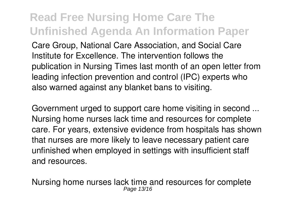Care Group, National Care Association, and Social Care Institute for Excellence. The intervention follows the publication in Nursing Times last month of an open letter from leading infection prevention and control (IPC) experts who also warned against any blanket bans to visiting.

**Government urged to support care home visiting in second ...** Nursing home nurses lack time and resources for complete care. For years, extensive evidence from hospitals has shown that nurses are more likely to leave necessary patient care unfinished when employed in settings with insufficient staff and resources.

**Nursing home nurses lack time and resources for complete** Page 13/16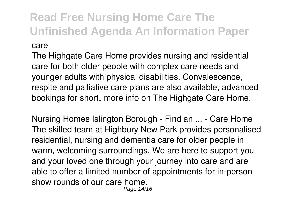The Highgate Care Home provides nursing and residential care for both older people with complex care needs and younger adults with physical disabilities. Convalescence, respite and palliative care plans are also available, advanced bookings for short<sup>[1]</sup> more info on The Highgate Care Home.

**Nursing Homes Islington Borough - Find an ... - Care Home** The skilled team at Highbury New Park provides personalised residential, nursing and dementia care for older people in warm, welcoming surroundings. We are here to support you and your loved one through your journey into care and are able to offer a limited number of appointments for in-person show rounds of our care home. Page 14/16